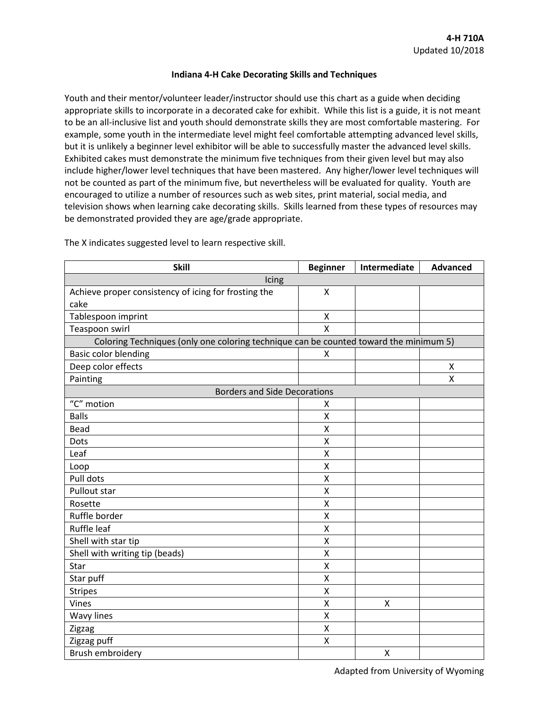## **Indiana 4-H Cake Decorating Skills and Techniques**

Youth and their mentor/volunteer leader/instructor should use this chart as a guide when deciding appropriate skills to incorporate in a decorated cake for exhibit. While this list is a guide, it is not meant to be an all-inclusive list and youth should demonstrate skills they are most comfortable mastering. For example, some youth in the intermediate level might feel comfortable attempting advanced level skills, but it is unlikely a beginner level exhibitor will be able to successfully master the advanced level skills. Exhibited cakes must demonstrate the minimum five techniques from their given level but may also include higher/lower level techniques that have been mastered. Any higher/lower level techniques will not be counted as part of the minimum five, but nevertheless will be evaluated for quality. Youth are encouraged to utilize a number of resources such as web sites, print material, social media, and television shows when learning cake decorating skills. Skills learned from these types of resources may be demonstrated provided they are age/grade appropriate.

| <b>Skill</b>                                                                          | <b>Beginner</b>       | Intermediate | <b>Advanced</b> |
|---------------------------------------------------------------------------------------|-----------------------|--------------|-----------------|
| Icing                                                                                 |                       |              |                 |
| Achieve proper consistency of icing for frosting the                                  | X                     |              |                 |
| cake                                                                                  |                       |              |                 |
| Tablespoon imprint                                                                    | X                     |              |                 |
| Teaspoon swirl                                                                        | X                     |              |                 |
| Coloring Techniques (only one coloring technique can be counted toward the minimum 5) |                       |              |                 |
| <b>Basic color blending</b>                                                           | X                     |              |                 |
| Deep color effects                                                                    |                       |              | X               |
| Painting                                                                              |                       |              | Χ               |
| <b>Borders and Side Decorations</b>                                                   |                       |              |                 |
| "C" motion                                                                            | X                     |              |                 |
| <b>Balls</b>                                                                          | X                     |              |                 |
| Bead                                                                                  | Χ                     |              |                 |
| Dots                                                                                  | X                     |              |                 |
| Leaf                                                                                  | $\mathsf{\mathsf{X}}$ |              |                 |
| Loop                                                                                  | X                     |              |                 |
| Pull dots                                                                             | X                     |              |                 |
| Pullout star                                                                          | X                     |              |                 |
| Rosette                                                                               | Χ                     |              |                 |
| Ruffle border                                                                         | X                     |              |                 |
| Ruffle leaf                                                                           | X                     |              |                 |
| Shell with star tip                                                                   | X                     |              |                 |
| Shell with writing tip (beads)                                                        | X                     |              |                 |
| Star                                                                                  | X                     |              |                 |
| Star puff                                                                             | Χ                     |              |                 |
| <b>Stripes</b>                                                                        | X                     |              |                 |
| Vines                                                                                 | Χ                     | X            |                 |
| <b>Wavy lines</b>                                                                     | X                     |              |                 |
| Zigzag                                                                                | X                     |              |                 |
| Zigzag puff                                                                           | X                     |              |                 |
| Brush embroidery                                                                      |                       | Χ            |                 |

The X indicates suggested level to learn respective skill.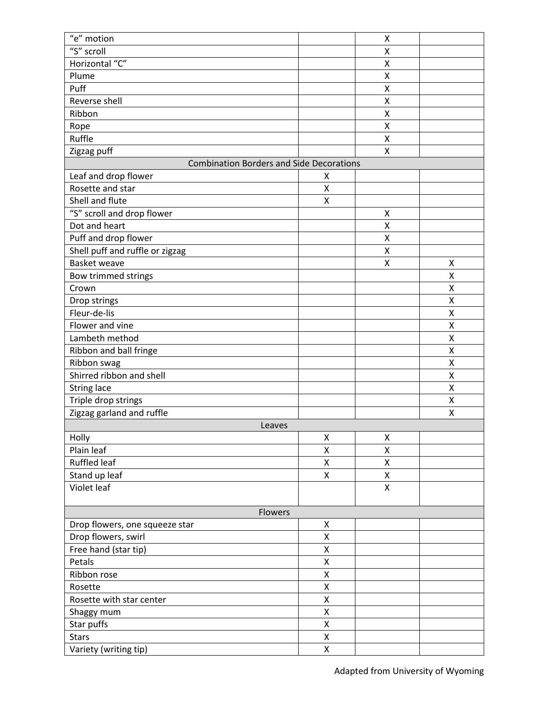| "e" motion                                      |                    | Χ                  |        |  |  |
|-------------------------------------------------|--------------------|--------------------|--------|--|--|
| $\overline{\text{``S''}}$ scroll                |                    | Χ                  |        |  |  |
| Horizontal "C"                                  |                    | X                  |        |  |  |
| Plume                                           |                    | Χ                  |        |  |  |
| Puff                                            |                    | X                  |        |  |  |
| Reverse shell                                   |                    | Χ                  |        |  |  |
| Ribbon                                          |                    | Χ                  |        |  |  |
| Rope                                            |                    | X                  |        |  |  |
| Ruffle                                          |                    | Χ                  |        |  |  |
| Zigzag puff                                     |                    | X                  |        |  |  |
| <b>Combination Borders and Side Decorations</b> |                    |                    |        |  |  |
| Leaf and drop flower                            | Χ                  |                    |        |  |  |
| Rosette and star                                | X                  |                    |        |  |  |
| Shell and flute                                 | X                  |                    |        |  |  |
| "S" scroll and drop flower                      |                    | Χ                  |        |  |  |
| Dot and heart                                   |                    | X                  |        |  |  |
| Puff and drop flower                            |                    | X                  |        |  |  |
| Shell puff and ruffle or zigzag                 |                    | X                  |        |  |  |
| <b>Basket weave</b>                             |                    | X                  | Χ      |  |  |
| Bow trimmed strings                             |                    |                    | Χ      |  |  |
| Crown                                           |                    |                    | X      |  |  |
| Drop strings                                    |                    |                    | X      |  |  |
| Fleur-de-lis                                    |                    |                    | Χ      |  |  |
| Flower and vine                                 |                    |                    | X      |  |  |
| Lambeth method                                  |                    |                    | X      |  |  |
| Ribbon and ball fringe                          |                    |                    | Χ      |  |  |
|                                                 |                    |                    | Χ      |  |  |
| Ribbon swag<br>Shirred ribbon and shell         |                    |                    | X      |  |  |
|                                                 |                    |                    |        |  |  |
| <b>String lace</b>                              |                    |                    | Χ      |  |  |
| Triple drop strings                             |                    |                    | Χ<br>X |  |  |
| Zigzag garland and ruffle                       |                    |                    |        |  |  |
| Leaves                                          |                    |                    |        |  |  |
| Holly                                           | Χ                  | Χ                  |        |  |  |
| Plain leaf                                      | Χ                  | Χ                  |        |  |  |
| Ruffled leaf                                    | Χ                  | Χ                  |        |  |  |
| Stand up leaf                                   | $\mathsf{X}$       | $\pmb{\mathsf{X}}$ |        |  |  |
| Violet leaf                                     |                    | Χ                  |        |  |  |
|                                                 |                    |                    |        |  |  |
| Flowers                                         |                    |                    |        |  |  |
| Drop flowers, one squeeze star                  | Χ<br>X             |                    |        |  |  |
| Drop flowers, swirl                             |                    |                    |        |  |  |
| Free hand (star tip)                            | Χ                  |                    |        |  |  |
| Petals                                          | Χ                  |                    |        |  |  |
| Ribbon rose                                     | X                  |                    |        |  |  |
| Rosette                                         | $\pmb{\mathsf{X}}$ |                    |        |  |  |
| Rosette with star center                        | $\mathsf{X}$       |                    |        |  |  |
| Shaggy mum                                      | X                  |                    |        |  |  |
| Star puffs                                      | X                  |                    |        |  |  |
| <b>Stars</b>                                    | Χ                  |                    |        |  |  |
| Variety (writing tip)                           | X                  |                    |        |  |  |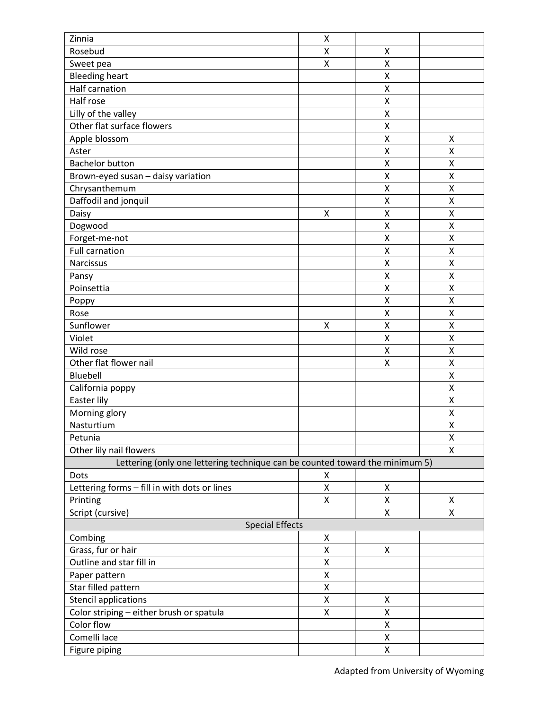| Zinnia                                                                       | Χ                  |        |        |
|------------------------------------------------------------------------------|--------------------|--------|--------|
| Rosebud                                                                      | Χ                  | Χ      |        |
| Sweet pea                                                                    | X                  | X      |        |
| <b>Bleeding heart</b>                                                        |                    | X      |        |
| Half carnation                                                               |                    | X      |        |
| Half rose                                                                    |                    | Χ      |        |
| Lilly of the valley                                                          |                    | X      |        |
| Other flat surface flowers                                                   |                    | X      |        |
| Apple blossom                                                                |                    | Χ      | Χ      |
| Aster                                                                        |                    | Χ      | X      |
| <b>Bachelor button</b>                                                       |                    | X      | X      |
| Brown-eyed susan - daisy variation                                           |                    | X      | X      |
| Chrysanthemum                                                                |                    | Χ      | Χ      |
| Daffodil and jonquil                                                         |                    | Χ      | Χ      |
| Daisy                                                                        | $\pmb{\mathsf{X}}$ | X      | X      |
| Dogwood                                                                      |                    | Χ      | Χ      |
| Forget-me-not                                                                |                    | X      | Χ      |
| <b>Full carnation</b>                                                        |                    | X      | X      |
| Narcissus                                                                    |                    | X      | X      |
|                                                                              |                    |        |        |
| Pansy<br>Poinsettia                                                          |                    | Χ<br>Χ | Χ<br>X |
|                                                                              |                    | X      | Χ      |
| Poppy                                                                        |                    |        |        |
| Rose                                                                         |                    | Χ      | Χ      |
| Sunflower                                                                    | X                  | Χ      | X      |
| Violet                                                                       |                    | X      | X      |
| Wild rose                                                                    |                    | Χ      | Χ      |
| Other flat flower nail                                                       |                    | Χ      | Χ      |
| Bluebell                                                                     |                    |        | X      |
| California poppy                                                             |                    |        | X      |
| Easter lily                                                                  |                    |        | Χ      |
| Morning glory                                                                |                    |        | X      |
| Nasturtium                                                                   |                    |        | Χ      |
| Petunia                                                                      |                    |        | X      |
| Other lily nail flowers                                                      |                    |        | X      |
| Lettering (only one lettering technique can be counted toward the minimum 5) |                    |        |        |
| Dots                                                                         | X                  |        |        |
| Lettering forms - fill in with dots or lines                                 | Χ                  | Χ      |        |
| Printing                                                                     | $\mathsf{X}% _{0}$ | X      | X      |
| Script (cursive)                                                             |                    | Χ      | Χ      |
| <b>Special Effects</b>                                                       |                    |        |        |
| Combing                                                                      | Χ                  |        |        |
| Grass, fur or hair                                                           | Χ                  | X      |        |
| Outline and star fill in                                                     | Χ                  |        |        |
| Paper pattern                                                                | Χ                  |        |        |
| Star filled pattern                                                          | Χ                  |        |        |
| <b>Stencil applications</b>                                                  | Χ                  | Χ      |        |
| Color striping - either brush or spatula                                     | Χ                  | Χ      |        |
| Color flow                                                                   |                    | Χ      |        |
| Comelli lace                                                                 |                    | Χ      |        |
| Figure piping                                                                |                    | Χ      |        |